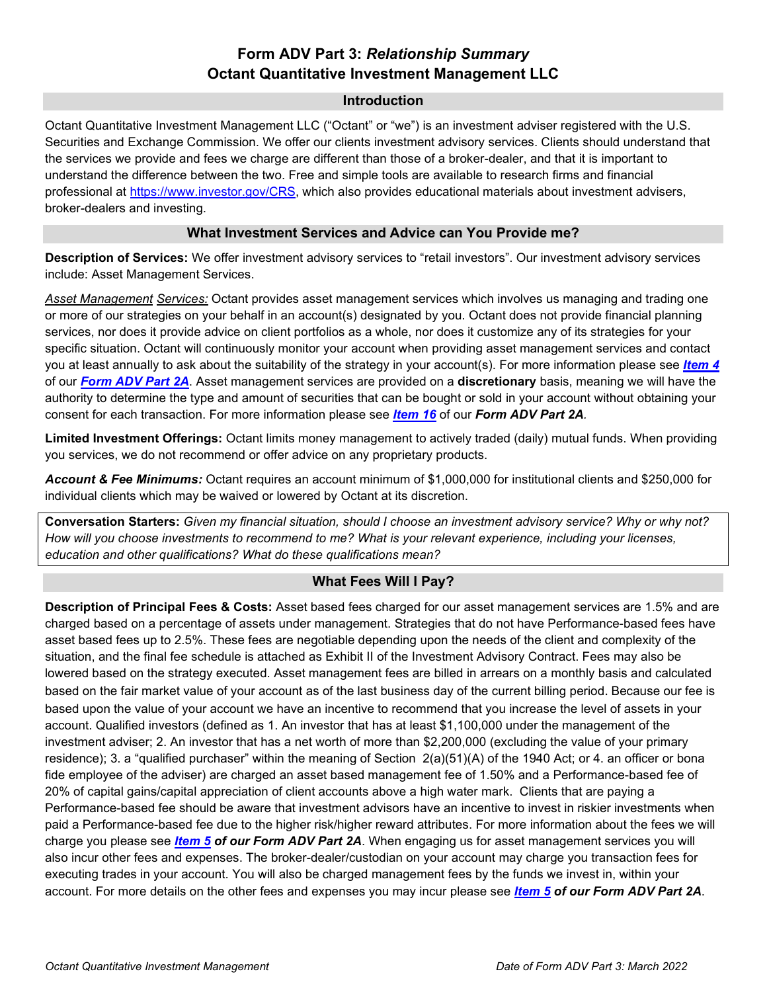# **Form ADV Part 3:** *Relationship Summary* **Octant Quantitative Investment Management LLC**

### **Introduction**

Octant Quantitative Investment Management LLC ("Octant" or "we") is an investment adviser registered with the U.S. Securities and Exchange Commission. We offer our clients investment advisory services. Clients should understand that the services we provide and fees we charge are different than those of a broker-dealer, and that it is important to understand the difference between the two. Free and simple tools are available to research firms and financial professional at [https://www.investor.gov/CRS,](https://www.investor.gov/CRS) which also provides educational materials about investment advisers, broker-dealers and investing.

### **What Investment Services and Advice can You Provide me?**

**Description of Services:** We offer investment advisory services to "retail investors". Our investment advisory services include: Asset Management Services.

*Asset Management Services:* Octant provides asset management services which involves us managing and trading one or more of our strategies on your behalf in an account(s) designated by you. Octant does not provide financial planning services, nor does it provide advice on client portfolios as a whole, nor does it customize any of its strategies for your specific situation. Octant will continuously monitor your account when providing asset management services and contact you at least annually to ask about the suitability of the strategy in your account(s). For more information please see *[Item 4](https://files.adviserinfo.sec.gov/IAPD/Content/Common/crd_iapd_Brochure.aspx?BRCHR_VRSN_ID=742097#page=5)* of our *[Form ADV Part 2A](https://files.adviserinfo.sec.gov/IAPD/Content/Common/crd_iapd_Brochure.aspx?BRCHR_VRSN_ID=742097#page=1)*. Asset management services are provided on a **discretionary** basis, meaning we will have the authority to determine the type and amount of securities that can be bought or sold in your account without obtaining your consent for each transaction. For more information please see *[Item 16](https://files.adviserinfo.sec.gov/IAPD/Content/Common/crd_iapd_Brochure.aspx?BRCHR_VRSN_ID=742097#page=19)* of our *Form ADV Part 2A.*

**Limited Investment Offerings:** Octant limits money management to actively traded (daily) mutual funds. When providing you services, we do not recommend or offer advice on any proprietary products.

*Account & Fee Minimums:* Octant requires an account minimum of \$1,000,000 for institutional clients and \$250,000 for individual clients which may be waived or lowered by Octant at its discretion.

**Conversation Starters:** *Given my financial situation, should I choose an investment advisory service? Why or why not? How will you choose investments to recommend to me? What is your relevant experience, including your licenses, education and other qualifications? What do these qualifications mean?*

### **What Fees Will I Pay?**

**Description of Principal Fees & Costs:** Asset based fees charged for our asset management services are 1.5% and are charged based on a percentage of assets under management. Strategies that do not have Performance-based fees have asset based fees up to 2.5%. These fees are negotiable depending upon the needs of the client and complexity of the situation, and the final fee schedule is attached as Exhibit II of the Investment Advisory Contract. Fees may also be lowered based on the strategy executed. Asset management fees are billed in arrears on a monthly basis and calculated based on the fair market value of your account as of the last business day of the current billing period. Because our fee is based upon the value of your account we have an incentive to recommend that you increase the level of assets in your account. Qualified investors (defined as 1. An investor that has at least \$1,100,000 under the management of the investment adviser; 2. An investor that has a net worth of more than \$2,200,000 (excluding the value of your primary residence); 3. a "qualified purchaser" within the meaning of Section 2(a)(51)(A) of the 1940 Act; or 4. an officer or bona fide employee of the adviser) are charged an asset based management fee of 1.50% and a Performance-based fee of 20% of capital gains/capital appreciation of client accounts above a high water mark. Clients that are paying a Performance-based fee should be aware that investment advisors have an incentive to invest in riskier investments when paid a Performance-based fee due to the higher risk/higher reward attributes. For more information about the fees we will charge you please see *[Item 5](https://files.adviserinfo.sec.gov/IAPD/Content/Common/crd_iapd_Brochure.aspx?BRCHR_VRSN_ID=742097#page=6) of our Form ADV Part 2A*. When engaging us for asset management services you will also incur other fees and expenses. The broker-dealer/custodian on your account may charge you transaction fees for executing trades in your account. You will also be charged management fees by the funds we invest in, within your account. For more details on the other fees and expenses you may incur please see *[Item 5](https://files.adviserinfo.sec.gov/IAPD/Content/Common/crd_iapd_Brochure.aspx?BRCHR_VRSN_ID=742097#page=6) of our Form ADV Part 2A*.